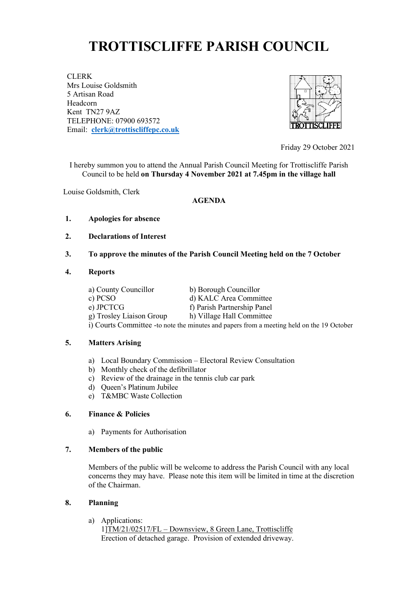# **TROTTISCLIFFE PARISH COUNCIL**

CLERK Mrs Louise Goldsmith 5 Artisan Road Headcorn Kent TN27 9AZ TELEPHONE: 07900 693572 Email: **[clerk@trottiscliffepc.co.uk](mailto:clerk@trottiscliffepc.co.uk)**



Friday 29 October 2021

I hereby summon you to attend the Annual Parish Council Meeting for Trottiscliffe Parish Council to be held **on Thursday 4 November 2021 at 7.45pm in the village hall** 

Louise Goldsmith, Clerk

### **AGENDA**

- **1. Apologies for absence**
- **2. Declarations of Interest**

## **3. To approve the minutes of the Parish Council Meeting held on the 7 October**

#### **4. Reports**

a) County Councillor b) Borough Councillor c) PCSO d) KALC Area Committee e) JPCTCG f) Parish Partnership Panel g) Trosley Liaison Group h) Village Hall Committee i) Courts Committee -to note the minutes and papers from a meeting held on the 19 October

### **5. Matters Arising**

- a) Local Boundary Commission Electoral Review Consultation
- b) Monthly check of the defibrillator
- c) Review of the drainage in the tennis club car park
- d) Queen's Platinum Jubilee
- e) T&MBC Waste Collection

### **6. Finance & Policies**

a) Payments for Authorisation

### **7. Members of the public**

Members of the public will be welcome to address the Parish Council with any local concerns they may have. Please note this item will be limited in time at the discretion of the Chairman.

### **8. Planning**

a) Applications:

1]TM/21/02517/FL – Downsview, 8 Green Lane, Trottiscliffe Erection of detached garage. Provision of extended driveway.